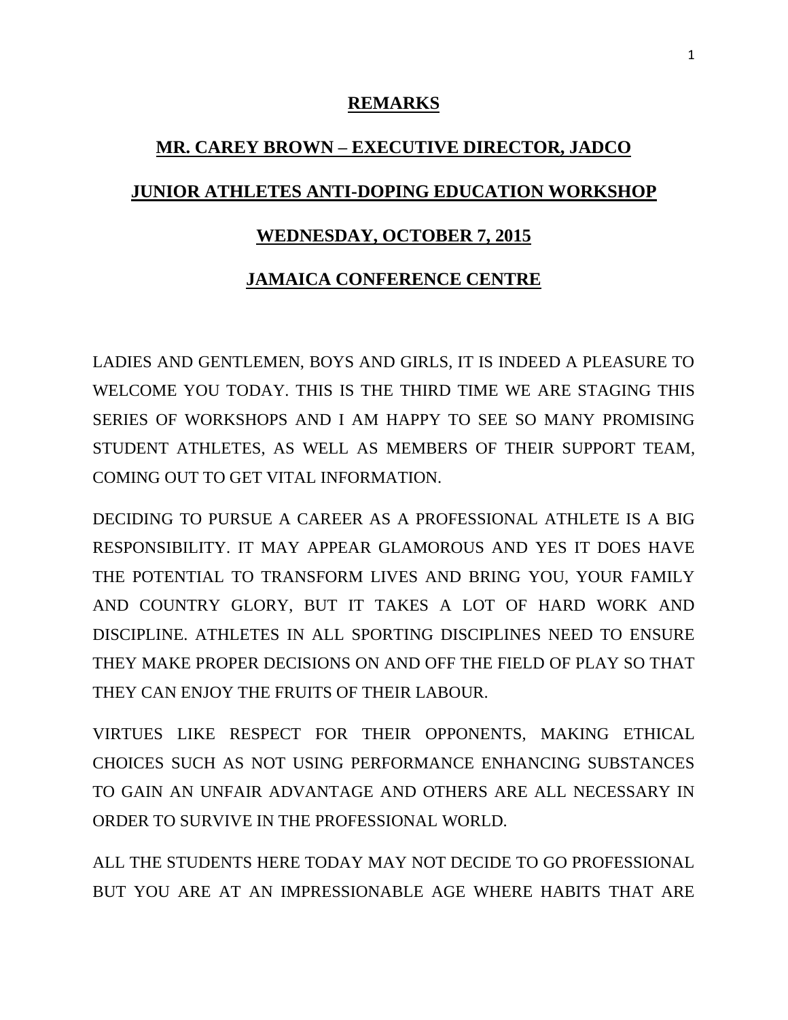## **REMARKS**

## **MR. CAREY BROWN – EXECUTIVE DIRECTOR, JADCO JUNIOR ATHLETES ANTI-DOPING EDUCATION WORKSHOP**

## **WEDNESDAY, OCTOBER 7, 2015**

## **JAMAICA CONFERENCE CENTRE**

LADIES AND GENTLEMEN, BOYS AND GIRLS, IT IS INDEED A PLEASURE TO WELCOME YOU TODAY. THIS IS THE THIRD TIME WE ARE STAGING THIS SERIES OF WORKSHOPS AND I AM HAPPY TO SEE SO MANY PROMISING STUDENT ATHLETES, AS WELL AS MEMBERS OF THEIR SUPPORT TEAM, COMING OUT TO GET VITAL INFORMATION.

DECIDING TO PURSUE A CAREER AS A PROFESSIONAL ATHLETE IS A BIG RESPONSIBILITY. IT MAY APPEAR GLAMOROUS AND YES IT DOES HAVE THE POTENTIAL TO TRANSFORM LIVES AND BRING YOU, YOUR FAMILY AND COUNTRY GLORY, BUT IT TAKES A LOT OF HARD WORK AND DISCIPLINE. ATHLETES IN ALL SPORTING DISCIPLINES NEED TO ENSURE THEY MAKE PROPER DECISIONS ON AND OFF THE FIELD OF PLAY SO THAT THEY CAN ENJOY THE FRUITS OF THEIR LABOUR.

VIRTUES LIKE RESPECT FOR THEIR OPPONENTS, MAKING ETHICAL CHOICES SUCH AS NOT USING PERFORMANCE ENHANCING SUBSTANCES TO GAIN AN UNFAIR ADVANTAGE AND OTHERS ARE ALL NECESSARY IN ORDER TO SURVIVE IN THE PROFESSIONAL WORLD.

ALL THE STUDENTS HERE TODAY MAY NOT DECIDE TO GO PROFESSIONAL BUT YOU ARE AT AN IMPRESSIONABLE AGE WHERE HABITS THAT ARE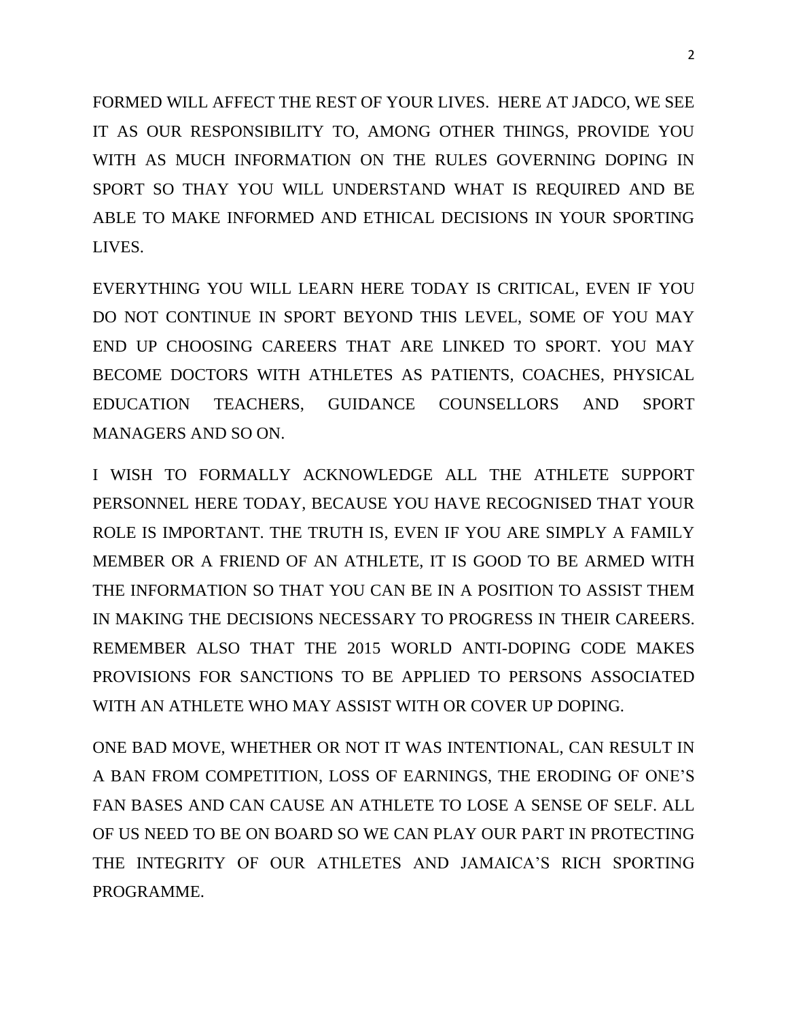FORMED WILL AFFECT THE REST OF YOUR LIVES. HERE AT JADCO, WE SEE IT AS OUR RESPONSIBILITY TO, AMONG OTHER THINGS, PROVIDE YOU WITH AS MUCH INFORMATION ON THE RULES GOVERNING DOPING IN SPORT SO THAY YOU WILL UNDERSTAND WHAT IS REQUIRED AND BE ABLE TO MAKE INFORMED AND ETHICAL DECISIONS IN YOUR SPORTING LIVES.

EVERYTHING YOU WILL LEARN HERE TODAY IS CRITICAL, EVEN IF YOU DO NOT CONTINUE IN SPORT BEYOND THIS LEVEL, SOME OF YOU MAY END UP CHOOSING CAREERS THAT ARE LINKED TO SPORT. YOU MAY BECOME DOCTORS WITH ATHLETES AS PATIENTS, COACHES, PHYSICAL EDUCATION TEACHERS, GUIDANCE COUNSELLORS AND SPORT MANAGERS AND SO ON.

I WISH TO FORMALLY ACKNOWLEDGE ALL THE ATHLETE SUPPORT PERSONNEL HERE TODAY, BECAUSE YOU HAVE RECOGNISED THAT YOUR ROLE IS IMPORTANT. THE TRUTH IS, EVEN IF YOU ARE SIMPLY A FAMILY MEMBER OR A FRIEND OF AN ATHLETE, IT IS GOOD TO BE ARMED WITH THE INFORMATION SO THAT YOU CAN BE IN A POSITION TO ASSIST THEM IN MAKING THE DECISIONS NECESSARY TO PROGRESS IN THEIR CAREERS. REMEMBER ALSO THAT THE 2015 WORLD ANTI-DOPING CODE MAKES PROVISIONS FOR SANCTIONS TO BE APPLIED TO PERSONS ASSOCIATED WITH AN ATHLETE WHO MAY ASSIST WITH OR COVER UP DOPING.

ONE BAD MOVE, WHETHER OR NOT IT WAS INTENTIONAL, CAN RESULT IN A BAN FROM COMPETITION, LOSS OF EARNINGS, THE ERODING OF ONE'S FAN BASES AND CAN CAUSE AN ATHLETE TO LOSE A SENSE OF SELF. ALL OF US NEED TO BE ON BOARD SO WE CAN PLAY OUR PART IN PROTECTING THE INTEGRITY OF OUR ATHLETES AND JAMAICA'S RICH SPORTING PROGRAMME.